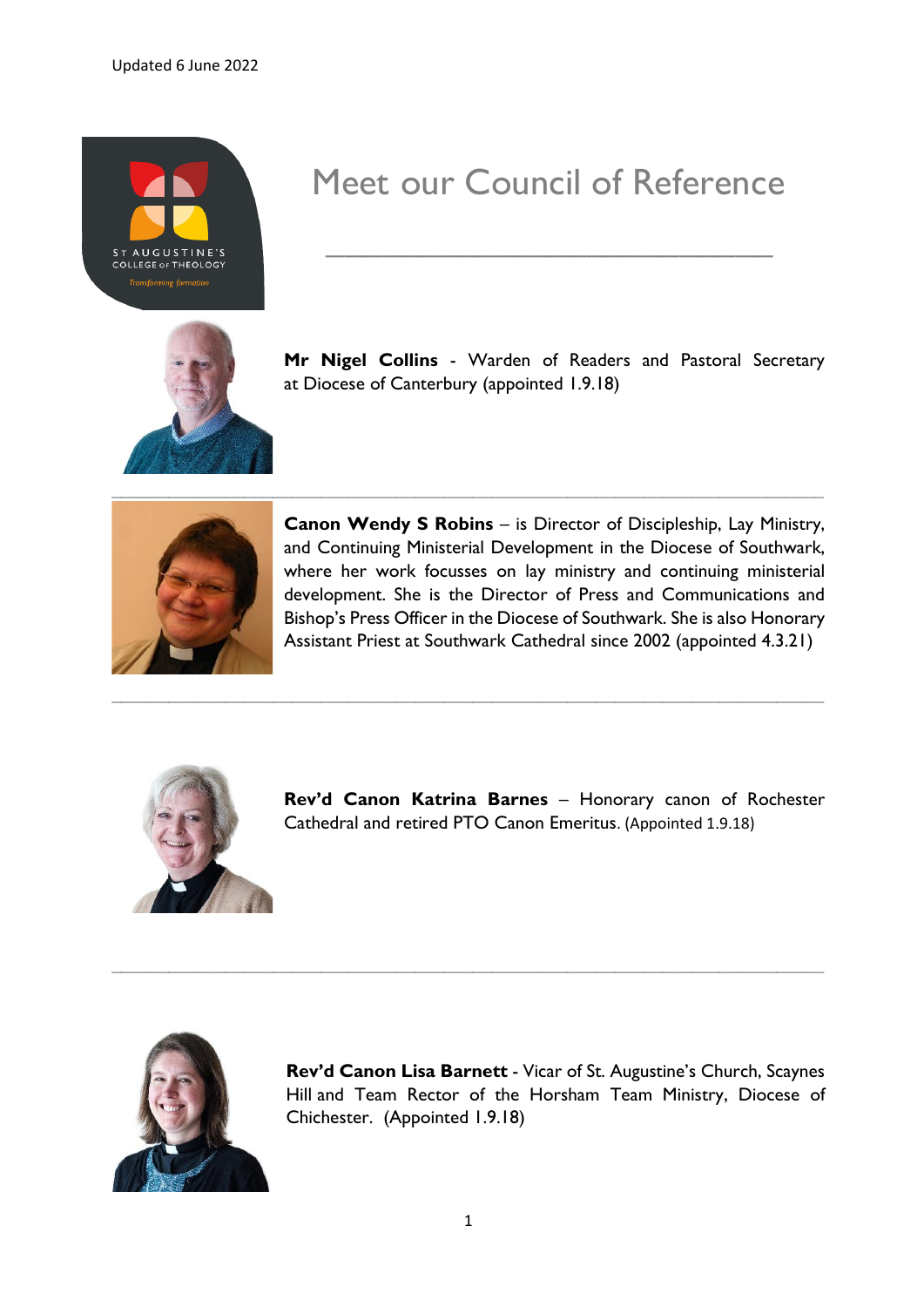

## Meet our Council of Reference

**\_\_\_\_\_\_\_\_\_\_\_\_\_\_\_\_\_\_\_\_\_\_\_\_**



**Mr Nigel Collins** - Warden of Readers and Pastoral Secretary at Diocese of Canterbury (appointed 1.9.18)



**Canon Wendy S Robins** – is Director of Discipleship, Lay Ministry, and Continuing Ministerial Development in the Diocese of Southwark, where her work focusses on lay ministry and continuing ministerial development. She is the Director of Press and Communications and Bishop's Press Officer in the Diocese of Southwark. She is also Honorary Assistant Priest at Southwark Cathedral since 2002 (appointed 4.3.21)



**Rev'd Canon Katrina Barnes** – Honorary canon of Rochester Cathedral and retired PTO Canon Emeritus. (Appointed 1.9.18)



**Rev'd Canon Lisa Barnett** - Vicar of St. Augustine's Church, Scaynes Hill and Team Rector of the Horsham Team Ministry, Diocese of Chichester. (Appointed 1.9.18)

**\_\_\_\_\_\_\_\_\_\_\_\_\_\_\_\_\_\_\_\_\_\_\_\_\_\_\_\_\_\_\_\_\_\_\_\_\_\_\_\_\_\_\_\_\_\_\_\_\_\_\_\_\_\_\_\_\_\_\_\_\_\_\_\_\_\_\_\_\_\_\_\_\_\_\_**

**\_\_\_\_\_\_\_\_\_\_\_\_\_\_\_\_\_\_\_\_\_\_\_\_\_\_\_\_\_\_\_\_\_\_\_\_\_\_\_\_\_\_\_\_\_\_\_\_\_\_\_\_\_\_\_\_\_\_\_\_\_\_\_\_\_\_\_\_\_\_\_\_\_\_\_**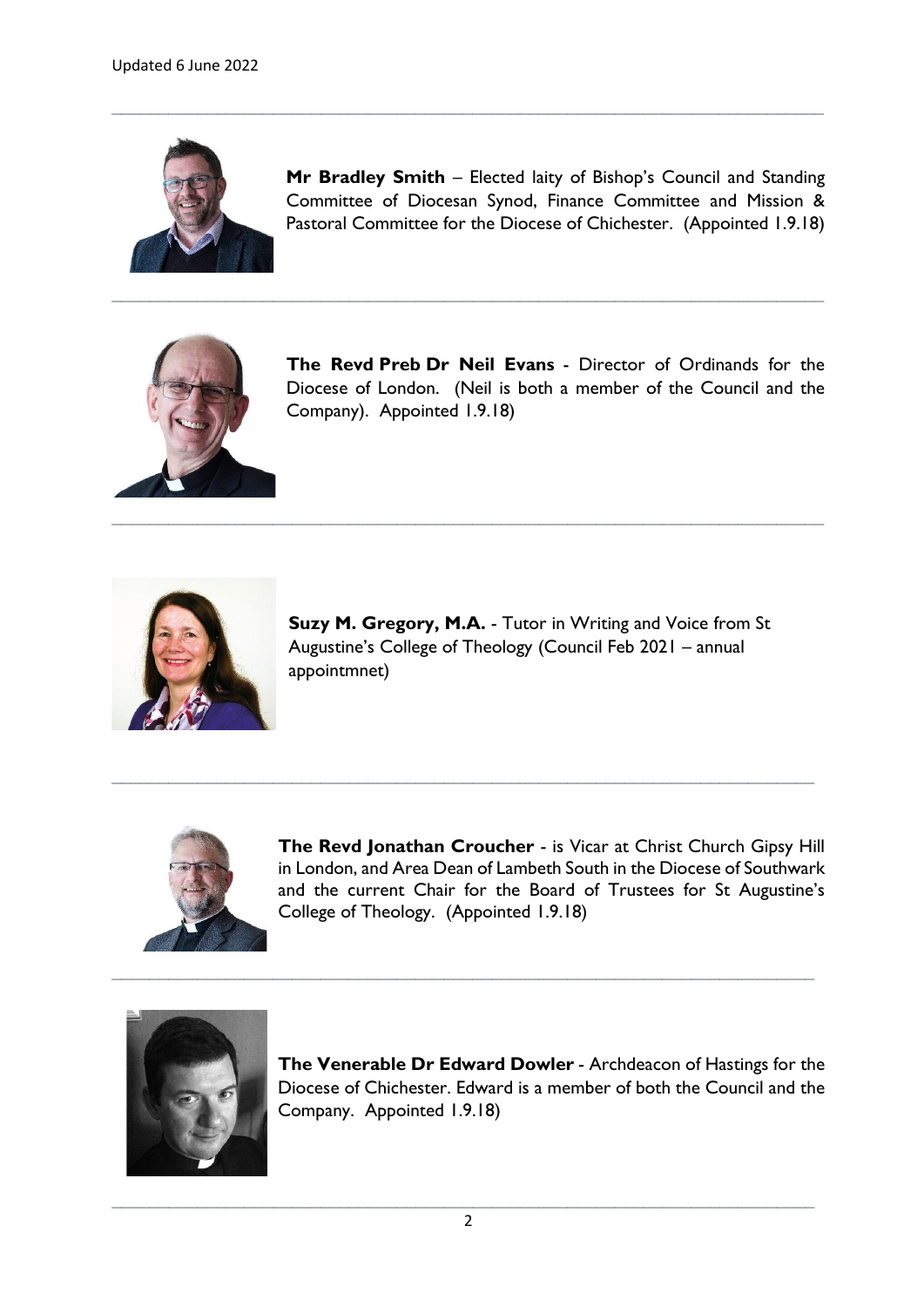

**Mr Bradley Smith** – Elected laity of Bishop's Council and Standing Committee of Diocesan Synod, Finance Committee and Mission & Pastoral Committee for the Diocese of Chichester. (Appointed 1.9.18)

**\_\_\_\_\_\_\_\_\_\_\_\_\_\_\_\_\_\_\_\_\_\_\_\_\_\_\_\_\_\_\_\_\_\_\_\_\_\_\_\_\_\_\_\_\_\_\_\_\_\_\_\_\_\_\_\_\_\_\_\_\_\_\_\_\_\_\_\_\_\_\_\_\_\_\_**

**\_\_\_\_\_\_\_\_\_\_\_\_\_\_\_\_\_\_\_\_\_\_\_\_\_\_\_\_\_\_\_\_\_\_\_\_\_\_\_\_\_\_\_\_\_\_\_\_\_\_\_\_\_\_\_\_\_\_\_\_\_\_\_\_\_\_\_\_\_\_\_\_\_\_\_**

**\_\_\_\_\_\_\_\_\_\_\_\_\_\_\_\_\_\_\_\_\_\_\_\_\_\_\_\_\_\_\_\_\_\_\_\_\_\_\_\_\_\_\_\_\_\_\_\_\_\_\_\_\_\_\_\_\_\_\_\_\_\_\_\_\_\_\_\_\_\_\_\_\_\_\_**

**\_\_\_\_\_\_\_\_\_\_\_\_\_\_\_\_\_\_\_\_\_\_\_\_\_\_\_\_\_\_\_\_\_\_\_\_\_\_\_\_\_\_\_\_\_\_\_\_\_\_\_\_\_\_\_\_\_\_\_\_\_\_\_\_\_\_\_\_\_\_\_\_\_\_**

**\_\_\_\_\_\_\_\_\_\_\_\_\_\_\_\_\_\_\_\_\_\_\_\_\_\_\_\_\_\_\_\_\_\_\_\_\_\_\_\_\_\_\_\_\_\_\_\_\_\_\_\_\_\_\_\_\_\_\_\_\_\_\_\_\_\_\_\_\_\_\_\_\_\_**



**The Revd Preb Dr Neil Evans** - Director of Ordinands for the Diocese of London. (Neil is both a member of the Council and the Company). Appointed 1.9.18)



**Suzy M. Gregory, M.A.** - Tutor in Writing and Voice from St Augustine's College of Theology (Council Feb 2021 – annual appointmnet)



**The Revd Jonathan Croucher** - is Vicar at Christ Church Gipsy Hill in London, and Area Dean of Lambeth South in the Diocese of Southwark and the current Chair for the Board of Trustees for St Augustine's College of Theology. (Appointed 1.9.18)



**The Venerable Dr Edward Dowler** - Archdeacon of Hastings for the Diocese of Chichester. Edward is a member of both the Council and the Company. Appointed 1.9.18)